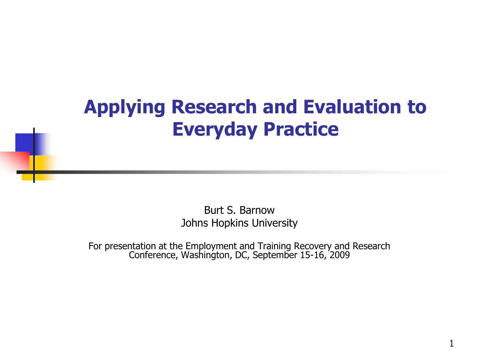## **Applying Research and Evaluation to Everyday Practice**

 Johns Hopkins University Burt S. Barnow

For presentation at the Employment and Training Recovery and Research Conference, Washington, DC, September 15-16, 2009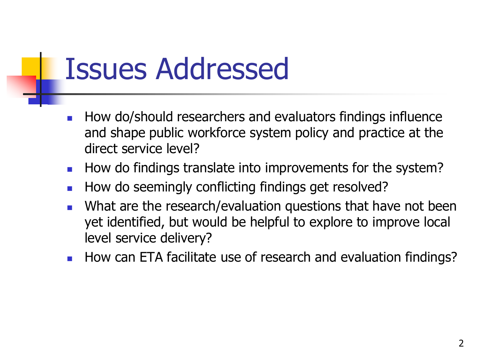## Issues Addressed

- direct service level? How do/should researchers and evaluators findings influence and shape public workforce system policy and practice at the
- How do findings translate into improvements for the system?
- How do seemingly conflicting findings get resolved?
- What are the research/evaluation questions that have not been yet identified, but would be helpful to explore to improve local level service delivery?
- How can ETA facilitate use of research and evaluation findings?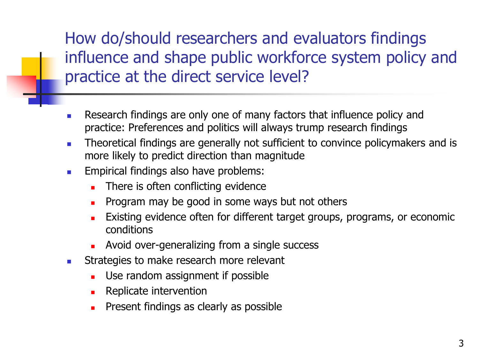How do/should researchers and evaluators findings influence and shape public workforce system policy and practice at the direct service level?

- **Research findings are only one of many factors that influence policy and** practice: Preferences and politics will always trump research findings
- **Theoretical findings are generally not sufficient to convince policymakers and is** more likely to predict direction than magnitude
- **Empirical findings also have problems:** 
	- There is often conflicting evidence
	- **Program may be good in some ways but not others**
	- **Existing evidence often for different target groups, programs, or economic** conditions
	- **Avoid over-generalizing from a single success**
- **EXECUTE:** Strategies to make research more relevant
	- **Use random assignment if possible**
	- **Replicate intervention**
	- Present findings as clearly as possible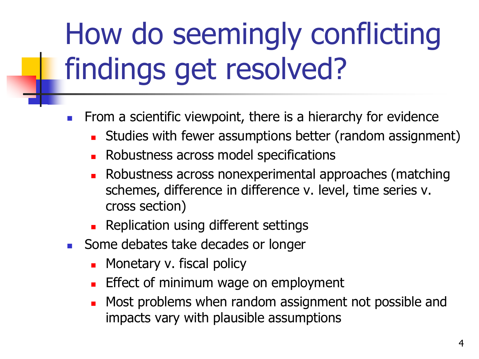## How do seemingly conflicting findings get resolved?

- From a scientific viewpoint, there is a hierarchy for evidence
	- **Studies with fewer assumptions better (random assignment)**
	- **Robustness across model specifications**
	- cross section) **Robustness across nonexperimental approaches (matching** schemes, difference in difference v. level, time series v.
	- **Replication using different settings**
- Some debates take decades or longer
	- **Nonetary v. fiscal policy**
	- Effect of minimum wage on employment
	- Most problems when random assignment not possible and impacts vary with plausible assumptions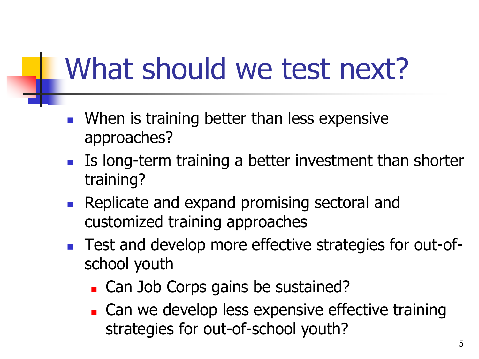## What should we test next?

- **Number 19 In 2018 When is training better than less expensive** approaches?
- **IIS long-term training a better investment than shorter** training?
- customized training approaches **Replicate and expand promising sectoral and**
- Test and develop more effective strategies for out-ofschool youth
	- **Can Job Corps gains be sustained?**
	- **Can we develop less expensive effective training** strategies for out-of-school youth?